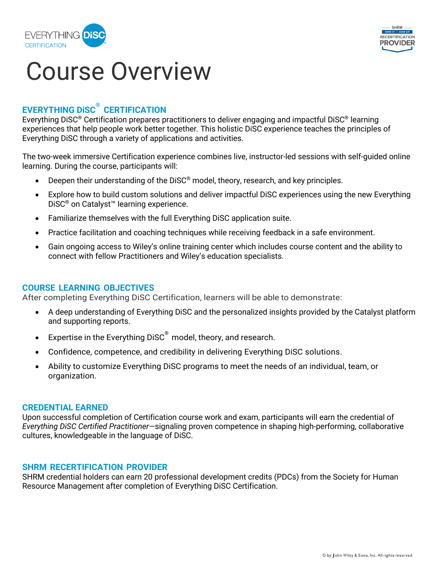



# Course Overview

## **EVERYTHING DiSC® CERTIFICATION**

Everything DiSC® Certification prepares practitioners to deliver engaging and impactful DiSC® learning experiences that help people work better together*.* This holistic DiSC experience teaches the principles of Everything DiSC through a variety of applications and activities.

The two-week immersive Certification experience combines live, instructor-led sessions with self-guided online learning. During the course, participants will:

- Deepen their understanding of the DiSC<sup>®</sup> model, theory, research, and key principles.
- Explore how to build custom solutions and deliver impactful DiSC experiences using the new Everything DiSC® on Catalyst™ learning experience.
- Familiarize themselves with the full Everything DiSC application suite.
- Practice facilitation and coaching techniques while receiving feedback in a safe environment.
- Gain ongoing access to Wiley's online training center which includes course content and the ability to connect with fellow Practitioners and Wiley's education specialists.

### **COURSE LEARNING OBJECTIVES**

After completing Everything DiSC Certification, learners will be able to demonstrate:

- A deep understanding of Everything DiSC and the personalized insights provided by the Catalyst platform and supporting reports.
- $\bullet$  Expertise in the Everything DiSC $^\circ$  model, theory, and research.
- Confidence, competence, and credibility in delivering Everything DiSC solutions.
- Ability to customize Everything DiSC programs to meet the needs of an individual, team, or organization.

#### **CREDENTIAL EARNED**

Upon successful completion of Certification course work and exam, participants will earn the credential of *Everything DiSC Certified Practitioner—*signaling proven competence in shaping high-performing, collaborative cultures, knowledgeable in the language of DiSC.

### **SHRM RECERTIFICATION PROVIDER**

SHRM credential holders can earn 20 professional development credits (PDCs) from the Society for Human Resource Management after completion of Everything DiSC Certification.